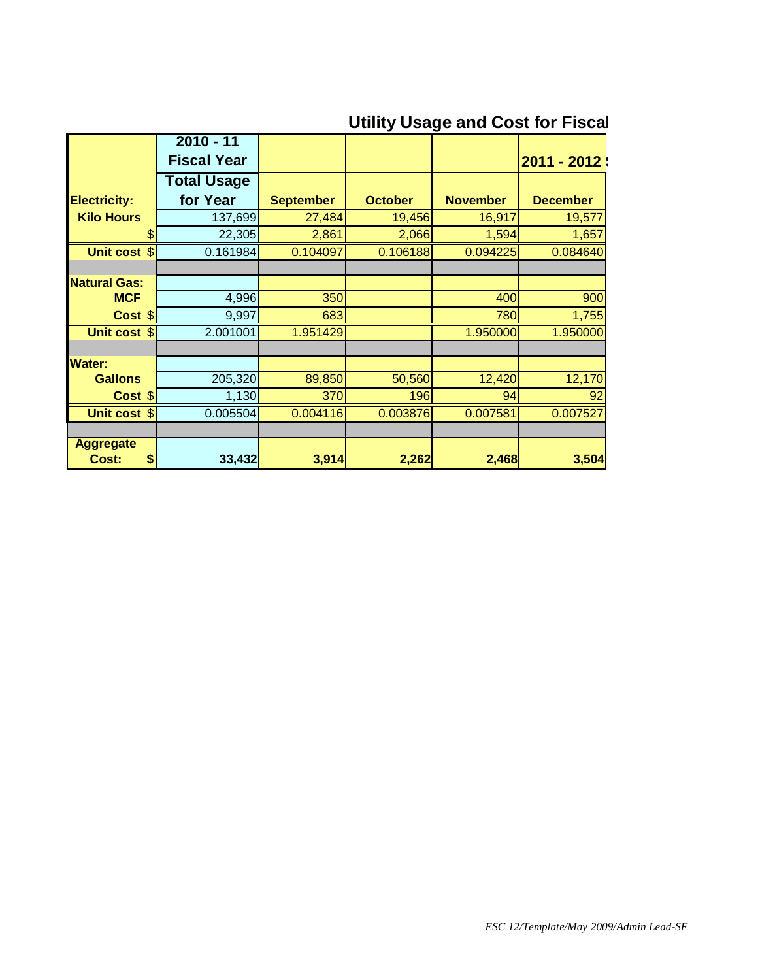## **Utility Usage and Cost for Fiscal**

|                     | $2010 - 11$        |                  |                |                 |                 |
|---------------------|--------------------|------------------|----------------|-----------------|-----------------|
|                     | <b>Fiscal Year</b> |                  |                |                 | 2011 - 2012 :   |
|                     | <b>Total Usage</b> |                  |                |                 |                 |
| <b>Electricity:</b> | for Year           | <b>September</b> | <b>October</b> | <b>November</b> | <b>December</b> |
| <b>Kilo Hours</b>   | 137,699            | 27,484           | 19,456         | 16,917          | 19,577          |
| \$                  | 22,305             | 2,861            | 2,066          | 1,594           | 1,657           |
| <b>Unit cost \$</b> | 0.161984           | 0.104097         | 0.106188       | 0.094225        | 0.084640        |
|                     |                    |                  |                |                 |                 |
| <b>Natural Gas:</b> |                    |                  |                |                 |                 |
| <b>MCF</b>          | 4,996              | 350              |                | 400             | 900             |
| Cost \$             | 9,997              | 683              |                | 780             | 1,755           |
| Unit cost \$        | 2.001001           | 1.951429         |                | 1.950000        | 1.950000        |
|                     |                    |                  |                |                 |                 |
| <b>Water:</b>       |                    |                  |                |                 |                 |
| <b>Gallons</b>      | 205,320            | 89,850           | 50,560         | 12,420          | 12,170          |
| Cost \$             | 1,130              | 370              | 196            | 94              | 92              |
| Unit cost \$        | 0.005504           | 0.004116         | 0.003876       | 0.007581        | 0.007527        |
|                     |                    |                  |                |                 |                 |
| <b>Aggregate</b>    |                    |                  |                |                 |                 |
| Cost:<br>\$         | 33,432             | 3,914            | 2,262          | 2,468           | 3,504           |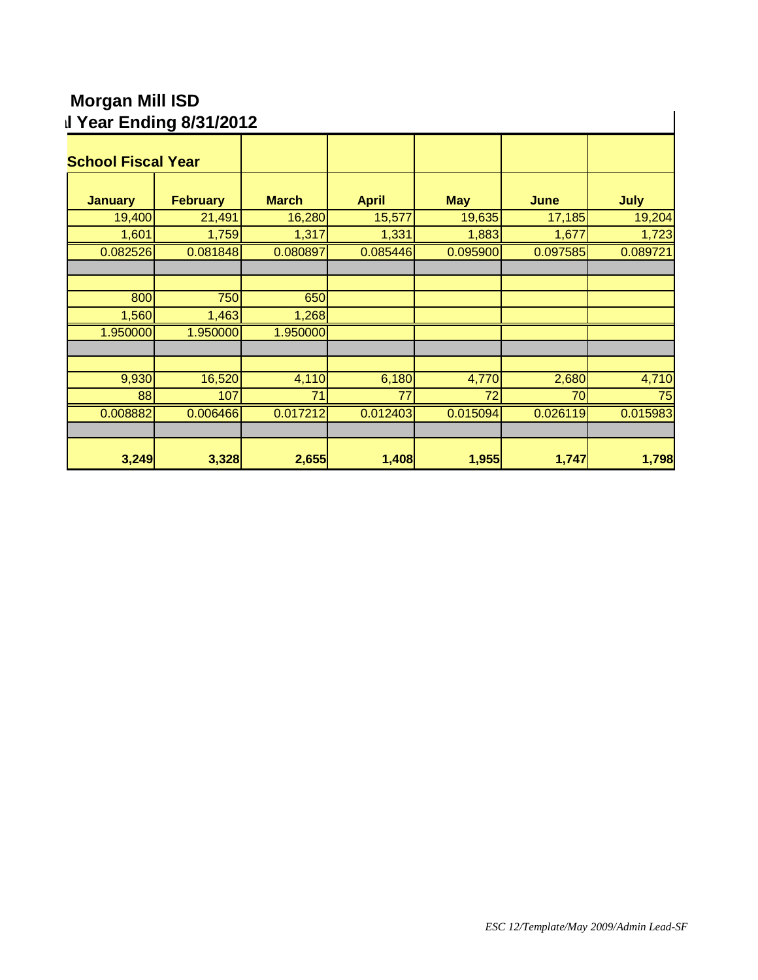## **Morgan Mill ISD Utility Usage and Cost for Fiscal Year Ending 8/31/2012**

| <b>School Fiscal Year</b> |                 |              |              |            |          |          |
|---------------------------|-----------------|--------------|--------------|------------|----------|----------|
| <b>January</b>            | <b>February</b> | <b>March</b> | <b>April</b> | <b>May</b> | June     | July     |
| 19,400                    | 21,491          | 16,280       | 15,577       | 19,635     | 17,185   | 19,204   |
| 1,601                     | 1,759           | 1,317        | 1,331        | 1,883      | 1,677    | 1,723    |
| 0.082526                  | 0.081848        | 0.080897     | 0.085446     | 0.095900   | 0.097585 | 0.089721 |
|                           |                 |              |              |            |          |          |
| 800                       | 750             | 650          |              |            |          |          |
| 1,560                     | 1,463           | 1,268        |              |            |          |          |
| 1.950000                  | 1.950000        | 1.950000     |              |            |          |          |
|                           |                 |              |              |            |          |          |
| 9,930                     | 16,520          | 4,110        | 6,180        | 4,770      | 2,680    | 4,710    |
| 88                        | 107             | 71           | 77           | 72         | 70       | 75       |
| 0.008882                  | 0.006466        | 0.017212     | 0.012403     | 0.015094   | 0.026119 | 0.015983 |
|                           |                 |              |              |            |          |          |
| 3,249                     | 3,328           | 2,655        | 1,408        | 1,955      | 1,747    | 1,798    |